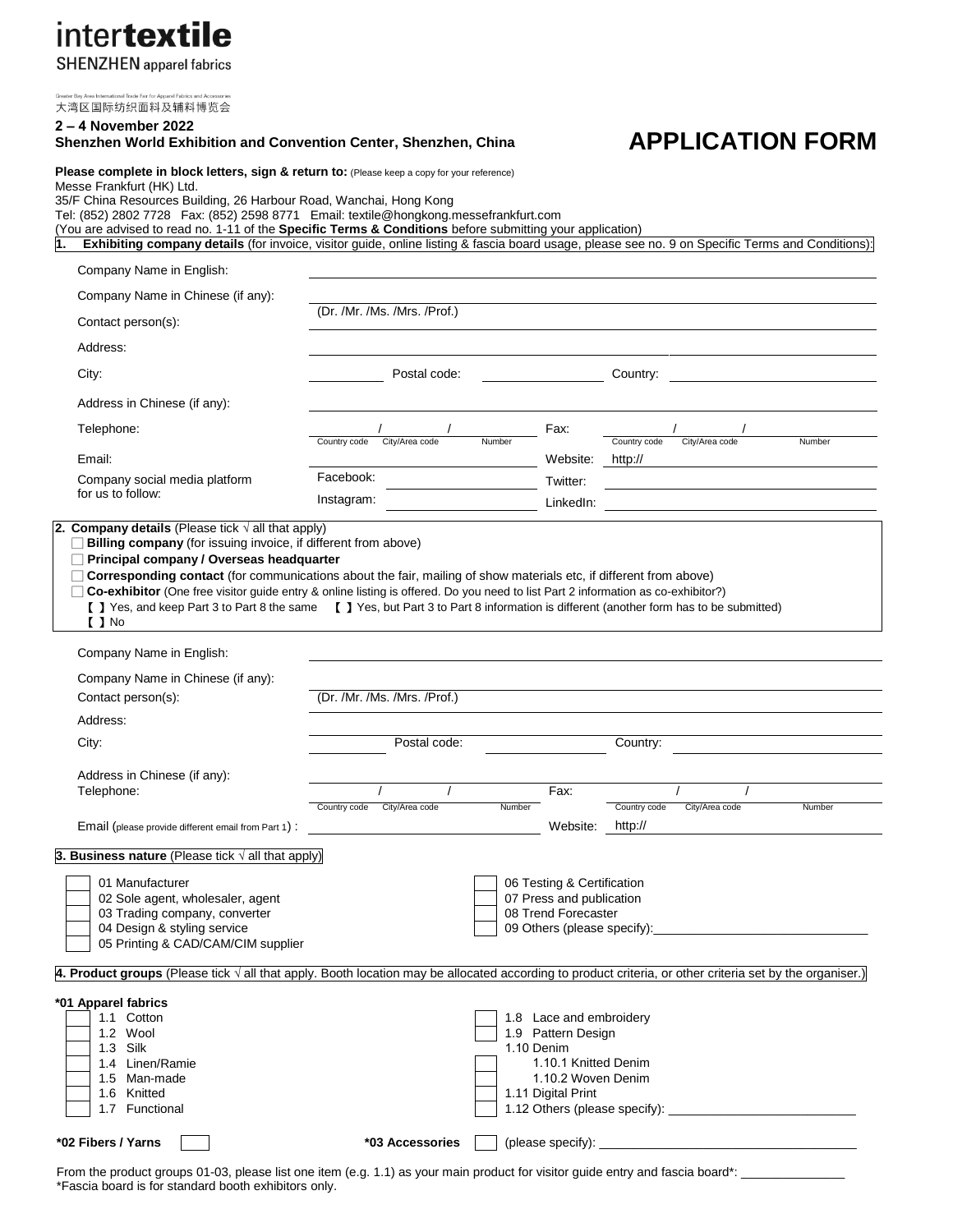intertextile

**SHENZHEN** apparel fabrics

大湾区国际纺织面料及辅料博览会

#### **2 – 4 November 2022 Shenzhen World Exhibition and Convention Center, Shenzhen, China**

## **APPLICATION FORM**

Please complete in block letters, sign & return to: (Please keep a copy for your reference) Messe Frankfurt (HK) Ltd. 35/F China Resources Building, 26 Harbour Road, Wanchai, Hong Kong

Tel: (852) 2802 7728 Fax: (852) 2598 8771 Email: textile@hongkong.messefrankfurt.com

(You are advised to read no. 1-11 of the **Specific Terms & Conditions** before submitting your application)

**1. Exhibiting company details** (for invoice, visitor guide, online listing & fascia board usage, please see no. 9 on Specific Terms and Conditions):

| Company Name in English:                                                                                                                                                                                                                                                                                                                                                                                                                                                   |                                |                                                                                                                                 |                         |                |        |
|----------------------------------------------------------------------------------------------------------------------------------------------------------------------------------------------------------------------------------------------------------------------------------------------------------------------------------------------------------------------------------------------------------------------------------------------------------------------------|--------------------------------|---------------------------------------------------------------------------------------------------------------------------------|-------------------------|----------------|--------|
| Company Name in Chinese (if any):                                                                                                                                                                                                                                                                                                                                                                                                                                          |                                |                                                                                                                                 |                         |                |        |
| Contact person(s):                                                                                                                                                                                                                                                                                                                                                                                                                                                         | (Dr. /Mr. /Ms. /Mrs. /Prof.)   |                                                                                                                                 |                         |                |        |
| Address:                                                                                                                                                                                                                                                                                                                                                                                                                                                                   |                                |                                                                                                                                 |                         |                |        |
| City:                                                                                                                                                                                                                                                                                                                                                                                                                                                                      | Postal code:                   |                                                                                                                                 | Country:                |                |        |
| Address in Chinese (if any):                                                                                                                                                                                                                                                                                                                                                                                                                                               |                                |                                                                                                                                 |                         |                |        |
| Telephone:                                                                                                                                                                                                                                                                                                                                                                                                                                                                 |                                | Fax:                                                                                                                            |                         |                |        |
| Email:                                                                                                                                                                                                                                                                                                                                                                                                                                                                     | City/Area code<br>Country code | Number<br>Website:                                                                                                              | Country code<br>http:// | City/Area code | Number |
| Company social media platform                                                                                                                                                                                                                                                                                                                                                                                                                                              | Facebook:                      | Twitter:                                                                                                                        |                         |                |        |
| for us to follow:                                                                                                                                                                                                                                                                                                                                                                                                                                                          | Instagram:                     | LinkedIn:                                                                                                                       |                         |                |        |
| $\Box$ Principal company / Overseas headquarter<br>□ Corresponding contact (for communications about the fair, mailing of show materials etc, if different from above)<br>□ Co-exhibitor (One free visitor guide entry & online listing is offered. Do you need to list Part 2 information as co-exhibitor?)<br>[ ] Yes, and keep Part 3 to Part 8 the same [ ] Yes, but Part 3 to Part 8 information is different (another form has to be submitted)<br>$\blacksquare$ No |                                |                                                                                                                                 |                         |                |        |
| Company Name in English:                                                                                                                                                                                                                                                                                                                                                                                                                                                   |                                |                                                                                                                                 |                         |                |        |
| Company Name in Chinese (if any):                                                                                                                                                                                                                                                                                                                                                                                                                                          |                                |                                                                                                                                 |                         |                |        |
| Contact person(s):                                                                                                                                                                                                                                                                                                                                                                                                                                                         | (Dr. /Mr. /Ms. /Mrs. /Prof.)   |                                                                                                                                 |                         |                |        |
| Address:<br>City:                                                                                                                                                                                                                                                                                                                                                                                                                                                          | Postal code:                   |                                                                                                                                 | Country:                |                |        |
|                                                                                                                                                                                                                                                                                                                                                                                                                                                                            |                                |                                                                                                                                 |                         |                |        |
| Address in Chinese (if any):<br>Telephone:                                                                                                                                                                                                                                                                                                                                                                                                                                 | $\prime$                       | Fax:                                                                                                                            |                         |                |        |
| Email (please provide different email from Part 1) :                                                                                                                                                                                                                                                                                                                                                                                                                       | Country code City/Area code    | Number<br>Website:                                                                                                              | Country code<br>http:// | City/Area code | Number |
| 3. Business nature (Please tick $\sqrt{ }$ all that apply)                                                                                                                                                                                                                                                                                                                                                                                                                 |                                |                                                                                                                                 |                         |                |        |
| 01 Manufacturer<br>02 Sole agent, wholesaler, agent<br>03 Trading company, converter<br>04 Design & styling service<br>05 Printing & CAD/CAM/CIM supplier                                                                                                                                                                                                                                                                                                                  |                                | 06 Testing & Certification<br>07 Press and publication<br>08 Trend Forecaster<br>09 Others (please specify):                    |                         |                |        |
| 4. Product groups (Please tick $\sqrt{ }$ all that apply. Booth location may be allocated according to product criteria, or other criteria set by the organiser.)                                                                                                                                                                                                                                                                                                          |                                |                                                                                                                                 |                         |                |        |
| *01 Apparel fabrics<br>1.1 Cotton<br>1.2 Wool<br>1.3 Silk<br>1.4 Linen/Ramie<br>1.5 Man-made<br>1.6 Knitted<br>1.7 Functional                                                                                                                                                                                                                                                                                                                                              |                                | 1.8 Lace and embroidery<br>1.9 Pattern Design<br>1.10 Denim<br>1.10.1 Knitted Denim<br>1.10.2 Woven Denim<br>1.11 Digital Print |                         |                |        |
| *02 Fibers / Yarns                                                                                                                                                                                                                                                                                                                                                                                                                                                         | *03 Accessories                | (please specify): _                                                                                                             |                         |                |        |

From the product groups 01-03, please list one item (e.g. 1.1) as your main product for visitor guide entry and fascia board\*: \_ \*Fascia board is for standard booth exhibitors only.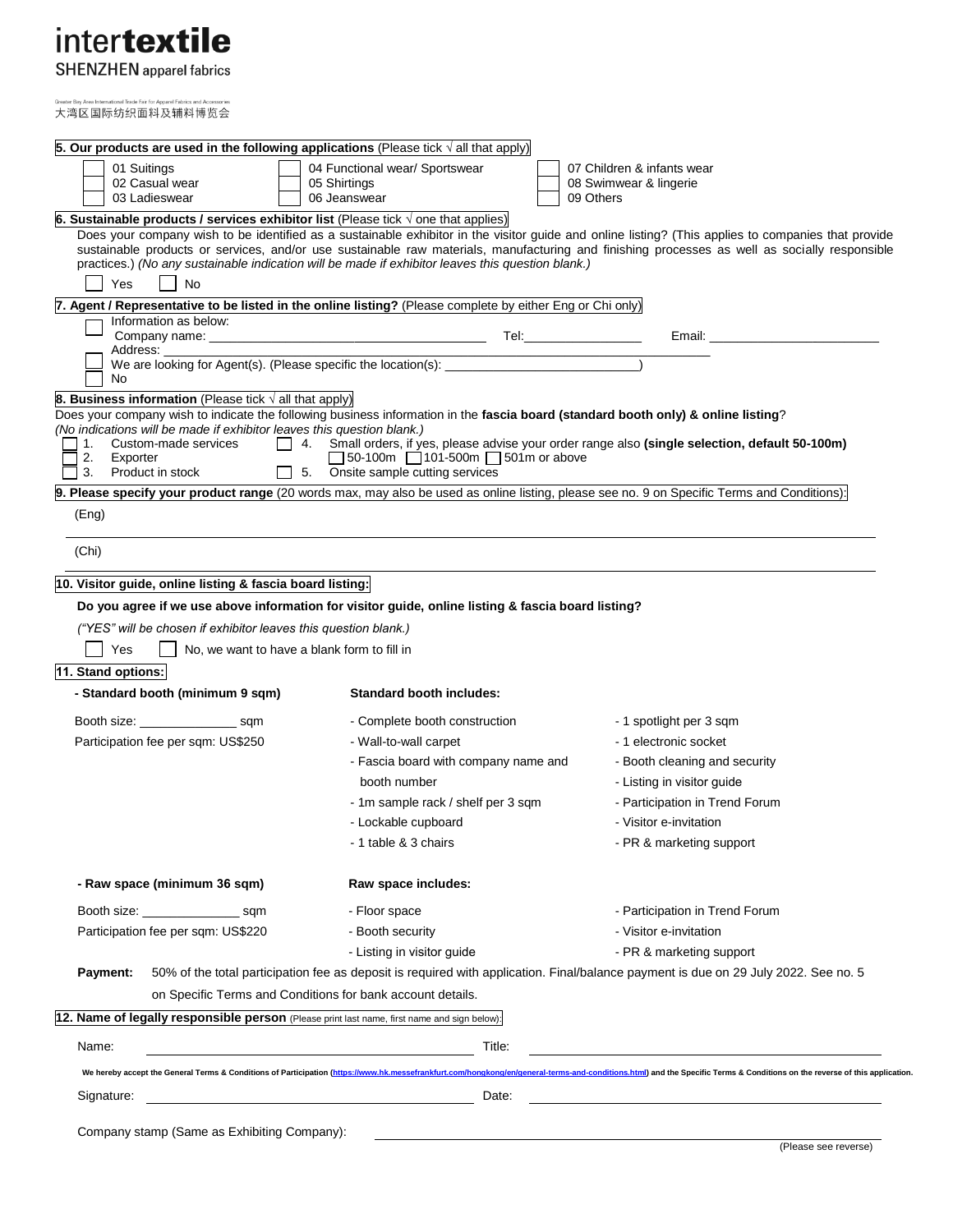# intertextile

**SHENZHEN** apparel fabrics

rel Fab

l Trade Fair for An 大湾区国际纺织面料及辅料博览会

| 5. Our products are used in the following applications (Please tick $\sqrt{ }$ all that apply)                                                                                                                                            |                                                                                       |                                                                                                                                                                                                                                                                                                      |
|-------------------------------------------------------------------------------------------------------------------------------------------------------------------------------------------------------------------------------------------|---------------------------------------------------------------------------------------|------------------------------------------------------------------------------------------------------------------------------------------------------------------------------------------------------------------------------------------------------------------------------------------------------|
| 01 Suitings<br>02 Casual wear<br>03 Ladieswear                                                                                                                                                                                            | 04 Functional wear/ Sportswear<br>05 Shirtings<br>06 Jeanswear                        | 07 Children & infants wear<br>08 Swimwear & lingerie<br>09 Others                                                                                                                                                                                                                                    |
| 6. Sustainable products / services exhibitor list (Please tick $\sqrt{ }$ one that applies)                                                                                                                                               |                                                                                       |                                                                                                                                                                                                                                                                                                      |
| practices.) (No any sustainable indication will be made if exhibitor leaves this question blank.)                                                                                                                                         |                                                                                       | Does your company wish to be identified as a sustainable exhibitor in the visitor guide and online listing? (This applies to companies that provide<br>sustainable products or services, and/or use sustainable raw materials, manufacturing and finishing processes as well as socially responsible |
| Yes<br>No                                                                                                                                                                                                                                 |                                                                                       |                                                                                                                                                                                                                                                                                                      |
| 7. Agent / Representative to be listed in the online listing? (Please complete by either Eng or Chi only)                                                                                                                                 |                                                                                       |                                                                                                                                                                                                                                                                                                      |
| Information as below:<br>Address:                                                                                                                                                                                                         |                                                                                       | Email: <b>Exercise Email:</b>                                                                                                                                                                                                                                                                        |
| No                                                                                                                                                                                                                                        | We are looking for Agent(s). (Please specific the location(s): _________________      |                                                                                                                                                                                                                                                                                                      |
| <b>8. Business information</b> (Please tick $\sqrt{}$ all that apply)                                                                                                                                                                     |                                                                                       |                                                                                                                                                                                                                                                                                                      |
| Does your company wish to indicate the following business information in the fascia board (standard booth only) & online listing?<br>(No indications will be made if exhibitor leaves this question blank.)<br>Custom-made services<br>1. |                                                                                       | 4. Small orders, if yes, please advise your order range also (single selection, default 50-100m)                                                                                                                                                                                                     |
| 2.<br>Exporter<br>3. Product in stock<br>5.                                                                                                                                                                                               | $\Box$ 50-100m $\Box$ 101-500m $\Box$ 501m or above<br>Onsite sample cutting services |                                                                                                                                                                                                                                                                                                      |
|                                                                                                                                                                                                                                           |                                                                                       | 9. Please specify your product range (20 words max, may also be used as online listing, please see no. 9 on Specific Terms and Conditions):                                                                                                                                                          |
| (Eng)                                                                                                                                                                                                                                     |                                                                                       |                                                                                                                                                                                                                                                                                                      |
| (Chi)                                                                                                                                                                                                                                     |                                                                                       |                                                                                                                                                                                                                                                                                                      |
| 10. Visitor guide, online listing & fascia board listing:                                                                                                                                                                                 |                                                                                       |                                                                                                                                                                                                                                                                                                      |
| Do you agree if we use above information for visitor guide, online listing & fascia board listing?                                                                                                                                        |                                                                                       |                                                                                                                                                                                                                                                                                                      |
| ("YES" will be chosen if exhibitor leaves this question blank.)                                                                                                                                                                           |                                                                                       |                                                                                                                                                                                                                                                                                                      |
| Yes<br>No, we want to have a blank form to fill in                                                                                                                                                                                        |                                                                                       |                                                                                                                                                                                                                                                                                                      |
|                                                                                                                                                                                                                                           |                                                                                       |                                                                                                                                                                                                                                                                                                      |
| 11. Stand options:<br>- Standard booth (minimum 9 sqm)                                                                                                                                                                                    | <b>Standard booth includes:</b>                                                       |                                                                                                                                                                                                                                                                                                      |
|                                                                                                                                                                                                                                           |                                                                                       |                                                                                                                                                                                                                                                                                                      |
| Booth size: ______________________ sqm<br>Participation fee per sqm: US\$250                                                                                                                                                              | - Complete booth construction<br>- Wall-to-wall carpet                                | - 1 spotlight per 3 sqm<br>- 1 electronic socket                                                                                                                                                                                                                                                     |
|                                                                                                                                                                                                                                           | - Fascia board with company name and                                                  | - Booth cleaning and security                                                                                                                                                                                                                                                                        |
|                                                                                                                                                                                                                                           | booth number                                                                          | - Listing in visitor guide                                                                                                                                                                                                                                                                           |
|                                                                                                                                                                                                                                           |                                                                                       |                                                                                                                                                                                                                                                                                                      |
|                                                                                                                                                                                                                                           | - 1m sample rack / shelf per 3 sqm                                                    | - Participation in Trend Forum                                                                                                                                                                                                                                                                       |
|                                                                                                                                                                                                                                           | - Lockable cupboard                                                                   | - Visitor e-invitation                                                                                                                                                                                                                                                                               |
|                                                                                                                                                                                                                                           | - 1 table & 3 chairs                                                                  | - PR & marketing support                                                                                                                                                                                                                                                                             |
| - Raw space (minimum 36 sqm)                                                                                                                                                                                                              | Raw space includes:                                                                   |                                                                                                                                                                                                                                                                                                      |
| Booth size: _____________________ sqm                                                                                                                                                                                                     | - Floor space                                                                         | - Participation in Trend Forum                                                                                                                                                                                                                                                                       |
| Participation fee per sqm: US\$220                                                                                                                                                                                                        | - Booth security                                                                      | - Visitor e-invitation                                                                                                                                                                                                                                                                               |
|                                                                                                                                                                                                                                           | - Listing in visitor guide                                                            | - PR & marketing support                                                                                                                                                                                                                                                                             |
| Payment:                                                                                                                                                                                                                                  |                                                                                       | 50% of the total participation fee as deposit is required with application. Final/balance payment is due on 29 July 2022. See no. 5                                                                                                                                                                  |
| on Specific Terms and Conditions for bank account details.                                                                                                                                                                                |                                                                                       |                                                                                                                                                                                                                                                                                                      |
| 12. Name of legally responsible person (Please print last name, first name and sign below):                                                                                                                                               |                                                                                       |                                                                                                                                                                                                                                                                                                      |
| Name:                                                                                                                                                                                                                                     | Title:<br><u> 1980 - Johann Barbara, martin amerikan basal da</u>                     |                                                                                                                                                                                                                                                                                                      |
|                                                                                                                                                                                                                                           |                                                                                       | We hereby accept the General Terms & Conditions of Participation (https://www.hk.messefrankfurt.com/hongkong/en/general-terms-and-conditions.html) and the Specific Terms & Conditions on the reverse of this application.                                                                           |
| Signature:                                                                                                                                                                                                                                | Date:                                                                                 |                                                                                                                                                                                                                                                                                                      |
| Company stamp (Same as Exhibiting Company):                                                                                                                                                                                               |                                                                                       |                                                                                                                                                                                                                                                                                                      |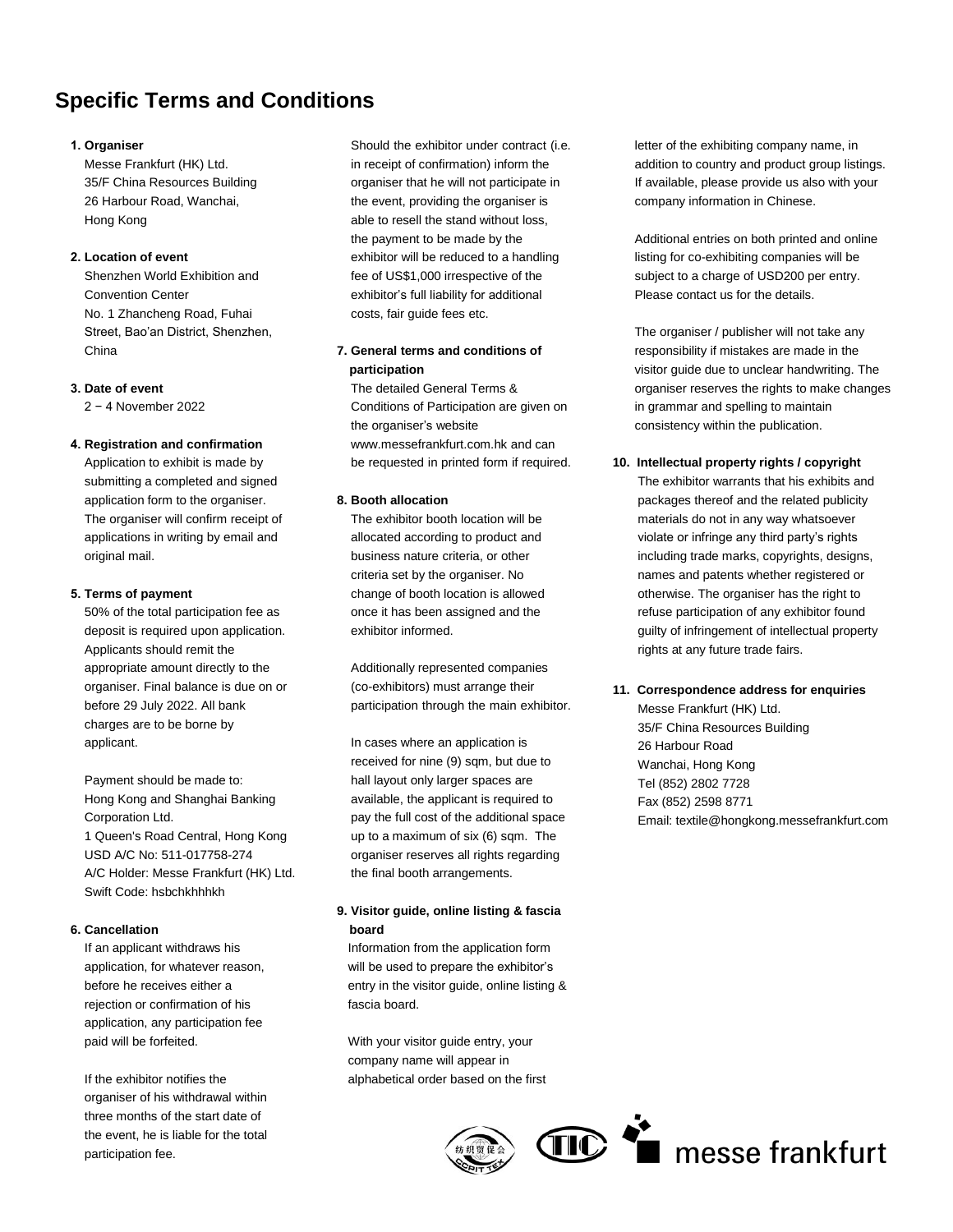## **Specific Terms and Conditions**

### **1. Organiser**

Messe Frankfurt (HK) Ltd. 35/F China Resources Building 26 Harbour Road, Wanchai, Hong Kong

### **2. Location of event**

Shenzhen World Exhibition and Convention Center No. 1 Zhancheng Road, Fuhai Street, Bao'an District, Shenzhen, China

#### **3. Date of event**

2 − 4 November 2022

#### **4. Registration and confirmation**

Application to exhibit is made by submitting a completed and signed application form to the organiser. The organiser will confirm receipt of applications in writing by email and original mail.

#### **5. Terms of payment**

50% of the total participation fee as deposit is required upon application. Applicants should remit the appropriate amount directly to the organiser. Final balance is due on or before 29 July 2022. All bank charges are to be borne by applicant.

Payment should be made to: Hong Kong and Shanghai Banking Corporation Ltd. 1 Queen's Road Central, Hong Kong USD A/C No: 511-017758-274 A/C Holder: Messe Frankfurt (HK) Ltd. Swift Code: hsbchkhhhkh

#### **6. Cancellation**

If an applicant withdraws his application, for whatever reason, before he receives either a rejection or confirmation of his application, any participation fee paid will be forfeited.

If the exhibitor notifies the organiser of his withdrawal within three months of the start date of the event, he is liable for the total participation fee.

Should the exhibitor under contract (i.e. in receipt of confirmation) inform the organiser that he will not participate in the event, providing the organiser is able to resell the stand without loss, the payment to be made by the exhibitor will be reduced to a handling fee of US\$1,000 irrespective of the exhibitor's full liability for additional costs, fair guide fees etc.

## **7. General terms and conditions of participation**

The detailed General Terms & Conditions of Participation are given on the organiser's website www.messefrankfurt.com.hk and can be requested in printed form if required.

#### **8. Booth allocation**

The exhibitor booth location will be allocated according to product and business nature criteria, or other criteria set by the organiser. No change of booth location is allowed once it has been assigned and the exhibitor informed.

Additionally represented companies (co-exhibitors) must arrange their participation through the main exhibitor.

In cases where an application is received for nine (9) sqm, but due to hall layout only larger spaces are available, the applicant is required to pay the full cost of the additional space up to a maximum of six (6) sqm. The organiser reserves all rights regarding the final booth arrangements.

## **9. Visitor guide, online listing & fascia board**

Information from the application form will be used to prepare the exhibitor's entry in the visitor guide, online listing & fascia board.

With your visitor guide entry, your company name will appear in alphabetical order based on the first

letter of the exhibiting company name, in addition to country and product group listings. If available, please provide us also with your company information in Chinese.

Additional entries on both printed and online listing for co-exhibiting companies will be subject to a charge of USD200 per entry. Please contact us for the details.

The organiser / publisher will not take any responsibility if mistakes are made in the visitor guide due to unclear handwriting. The organiser reserves the rights to make changes in grammar and spelling to maintain consistency within the publication.

**10. Intellectual property rights / copyright** The exhibitor warrants that his exhibits and packages thereof and the related publicity materials do not in any way whatsoever violate or infringe any third party's rights including trade marks, copyrights, designs, names and patents whether registered or otherwise. The organiser has the right to refuse participation of any exhibitor found guilty of infringement of intellectual property

#### **11. Correspondence address for enquiries**

rights at any future trade fairs.

Messe Frankfurt (HK) Ltd. 35/F China Resources Building 26 Harbour Road Wanchai, Hong Kong Tel (852) 2802 7728 Fax (852) 2598 8771 Email: textile@hongkong.messefrankfurt.com

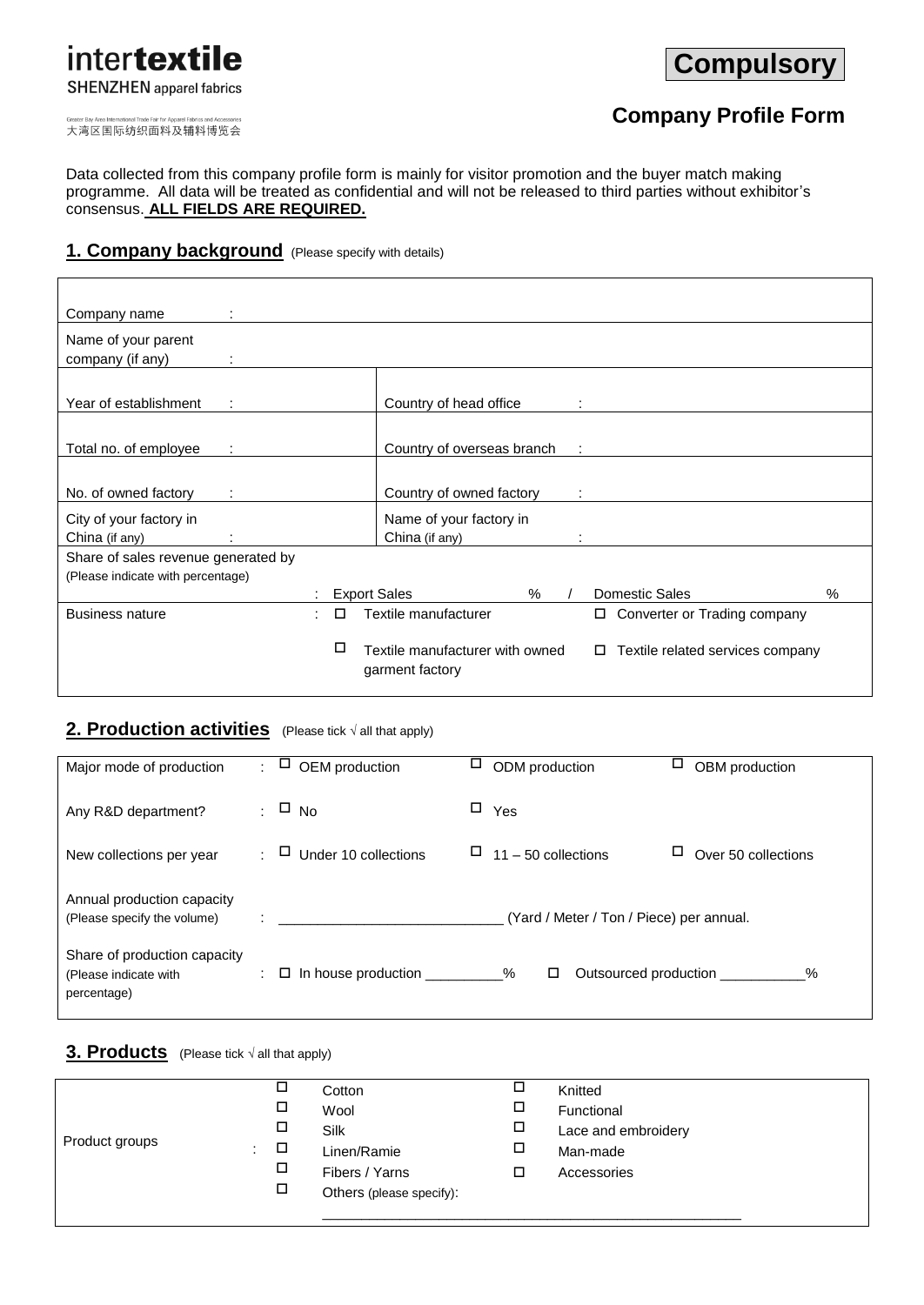# intertextile **SHENZHEN** apparel fabrics

**Compulsory**

大湾区国际纺织面料及辅料博览会

## **Company Profile Form**

Data collected from this company profile form is mainly for visitor promotion and the buyer match making programme. All data will be treated as confidential and will not be released to third parties without exhibitor's consensus. **ALL FIELDS ARE REQUIRED.** 

## **1. Company background** (Please specify with details)

| Company name                        |        |                                                    |      |                                       |      |
|-------------------------------------|--------|----------------------------------------------------|------|---------------------------------------|------|
| Name of your parent                 |        |                                                    |      |                                       |      |
| company (if any)<br>÷               |        |                                                    |      |                                       |      |
|                                     |        |                                                    |      |                                       |      |
| Year of establishment               |        | Country of head office                             |      |                                       |      |
|                                     |        |                                                    |      |                                       |      |
| Total no. of employee               |        | Country of overseas branch                         |      |                                       |      |
|                                     |        |                                                    |      |                                       |      |
| No. of owned factory                |        | Country of owned factory                           |      |                                       |      |
| City of your factory in             |        | Name of your factory in                            |      |                                       |      |
| China (if any)                      |        | China (if any)                                     |      |                                       |      |
| Share of sales revenue generated by |        |                                                    |      |                                       |      |
| (Please indicate with percentage)   |        |                                                    |      |                                       |      |
|                                     |        | <b>Export Sales</b>                                | $\%$ | Domestic Sales                        | $\%$ |
| <b>Business nature</b>              | $\Box$ | Textile manufacturer                               |      | □ Converter or Trading company        |      |
|                                     | □      | Textile manufacturer with owned<br>garment factory |      | Textile related services company<br>□ |      |

## 2. Production activities (Please tick  $\sqrt{a}$ ll that apply)

| Major mode of production                                             | ÷. | ப<br>OEM production                                 | Ц | ODM production                           | Ц | OBM production                        |
|----------------------------------------------------------------------|----|-----------------------------------------------------|---|------------------------------------------|---|---------------------------------------|
| Any R&D department?                                                  |    | $\therefore$ $\Box$ No                              | □ | Yes                                      |   |                                       |
| New collections per year                                             |    | Under 10 collections<br>ப                           |   | $\Box$ 11 – 50 collections               | ц | Over 50 collections                   |
| Annual production capacity<br>(Please specify the volume)            |    | the company of the company of the                   |   | (Yard / Meter / Ton / Piece) per annual. |   |                                       |
| Share of production capacity<br>(Please indicate with<br>percentage) |    | $\therefore$ $\Box$ In house production __________% |   | □                                        |   | Outsourced production __________<br>% |

## **3. Products** (Please tick <sup>√</sup> all that apply)

| Product groups | □<br>□<br>□<br>$\Box$<br>÷<br>□<br>□ | Cotton<br>Wool<br>Silk<br>Linen/Ramie<br>Fibers / Yarns<br>Others (please specify): | ◻<br>□<br>□<br>□<br>◻ | Knitted<br>Functional<br>Lace and embroidery<br>Man-made<br>Accessories |
|----------------|--------------------------------------|-------------------------------------------------------------------------------------|-----------------------|-------------------------------------------------------------------------|
|----------------|--------------------------------------|-------------------------------------------------------------------------------------|-----------------------|-------------------------------------------------------------------------|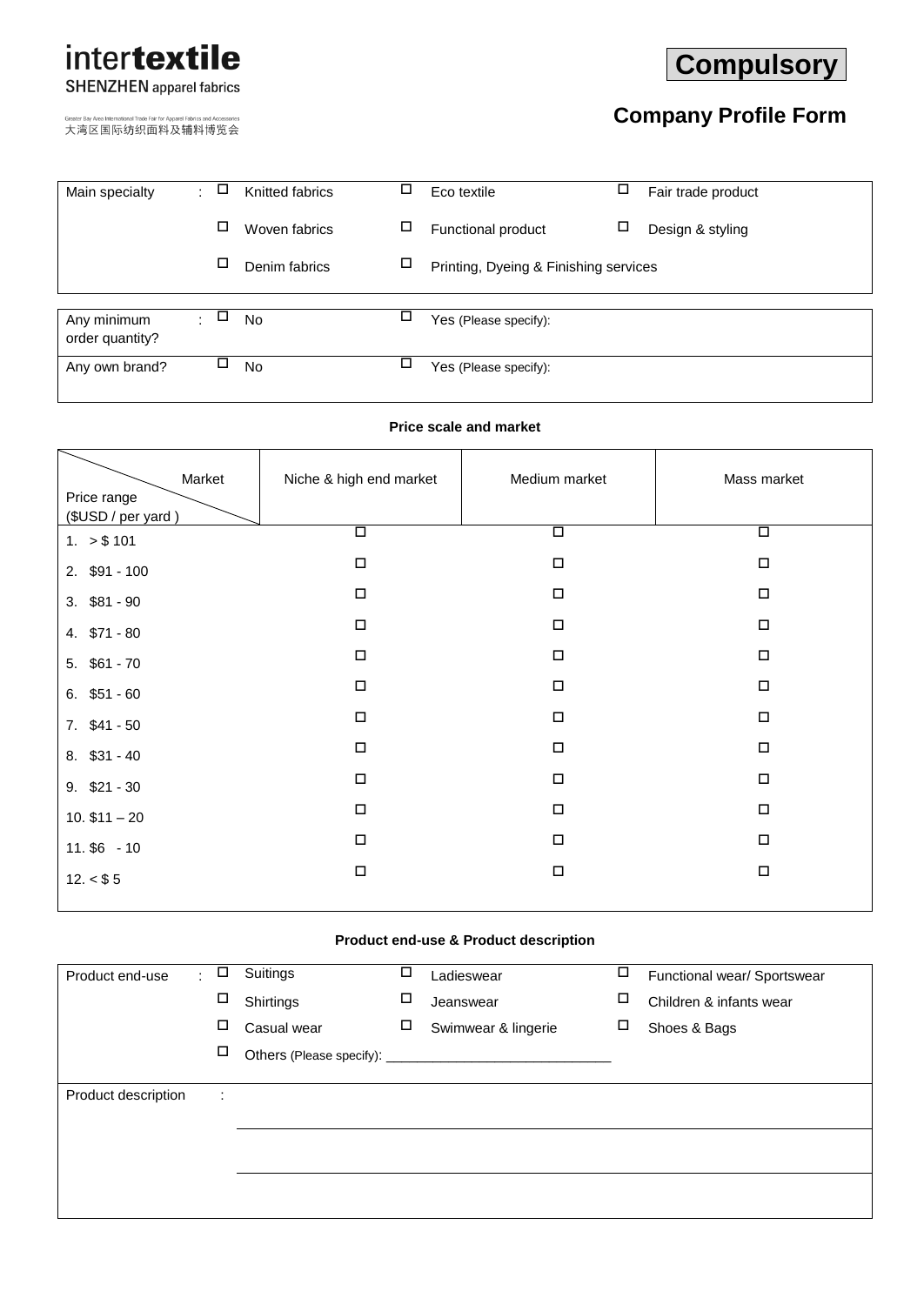# intertextile **SHENZHEN** apparel fabrics

大湾区国际纺织面料及辅料博览会

# **Compulsory**

# **Company Profile Form**

| Main specialty  | ÷      | □ | Knitted fabrics | ⊔ | Eco textile                           | ц | Fair trade product |
|-----------------|--------|---|-----------------|---|---------------------------------------|---|--------------------|
|                 |        |   | Woven fabrics   | □ | Functional product                    | □ | Design & styling   |
|                 |        | □ | Denim fabrics   | □ | Printing, Dyeing & Finishing services |   |                    |
| Any minimum     | $\sim$ | □ | <b>No</b>       | □ |                                       |   |                    |
| order quantity? |        |   |                 |   | Yes (Please specify):                 |   |                    |
| Any own brand?  |        | □ | <b>No</b>       |   | Yes (Please specify):                 |   |                    |
|                 |        |   |                 |   |                                       |   |                    |

## **Price scale and market**

| Market                            | Niche & high end market | Medium market        | Mass market |
|-----------------------------------|-------------------------|----------------------|-------------|
| Price range<br>(\$USD / per yard) |                         |                      |             |
| 1. > \$101                        | $\overline{\square}$    | $\overline{\square}$ | $\Box$      |
| 2. \$91 - 100                     | $\Box$                  | $\Box$               | $\Box$      |
| $3.$ \$81 - 90                    | $\Box$                  | $\Box$               | $\Box$      |
| 4. \$71 - 80                      | $\Box$                  | $\Box$               | $\Box$      |
| $5.$ \$61 - 70                    | $\Box$                  | $\Box$               | $\Box$      |
| $6.$ \$51 - 60                    | П                       | $\Box$               | $\Box$      |
| $7.$ \$41 - 50                    | $\Box$                  | $\Box$               | $\Box$      |
| 8. \$31 - 40                      | $\Box$                  | $\Box$               | $\Box$      |
| $9.$ \$21 - 30                    | $\Box$                  | $\Box$               | $\Box$      |
| $10.$ \$11 $-$ 20                 | $\Box$                  | $\Box$               | $\Box$      |
| $11.$ \$6 - 10                    | $\Box$                  | $\Box$               | $\Box$      |
| 12. < \$5                         | $\Box$                  | $\Box$               | $\Box$      |

## **Product end-use & Product description**

| Product end-use     | ÷. | □ | Suitings    | □ | Ladieswear          | □ | Functional wear/ Sportswear |
|---------------------|----|---|-------------|---|---------------------|---|-----------------------------|
|                     |    | □ | Shirtings   | □ | Jeanswear           | □ | Children & infants wear     |
|                     |    | □ | Casual wear | □ | Swimwear & lingerie | □ | Shoes & Bags                |
|                     |    | □ |             |   |                     |   |                             |
|                     |    |   |             |   |                     |   |                             |
| Product description |    | ÷ |             |   |                     |   |                             |
|                     |    |   |             |   |                     |   |                             |
|                     |    |   |             |   |                     |   |                             |
|                     |    |   |             |   |                     |   |                             |
|                     |    |   |             |   |                     |   |                             |
|                     |    |   |             |   |                     |   |                             |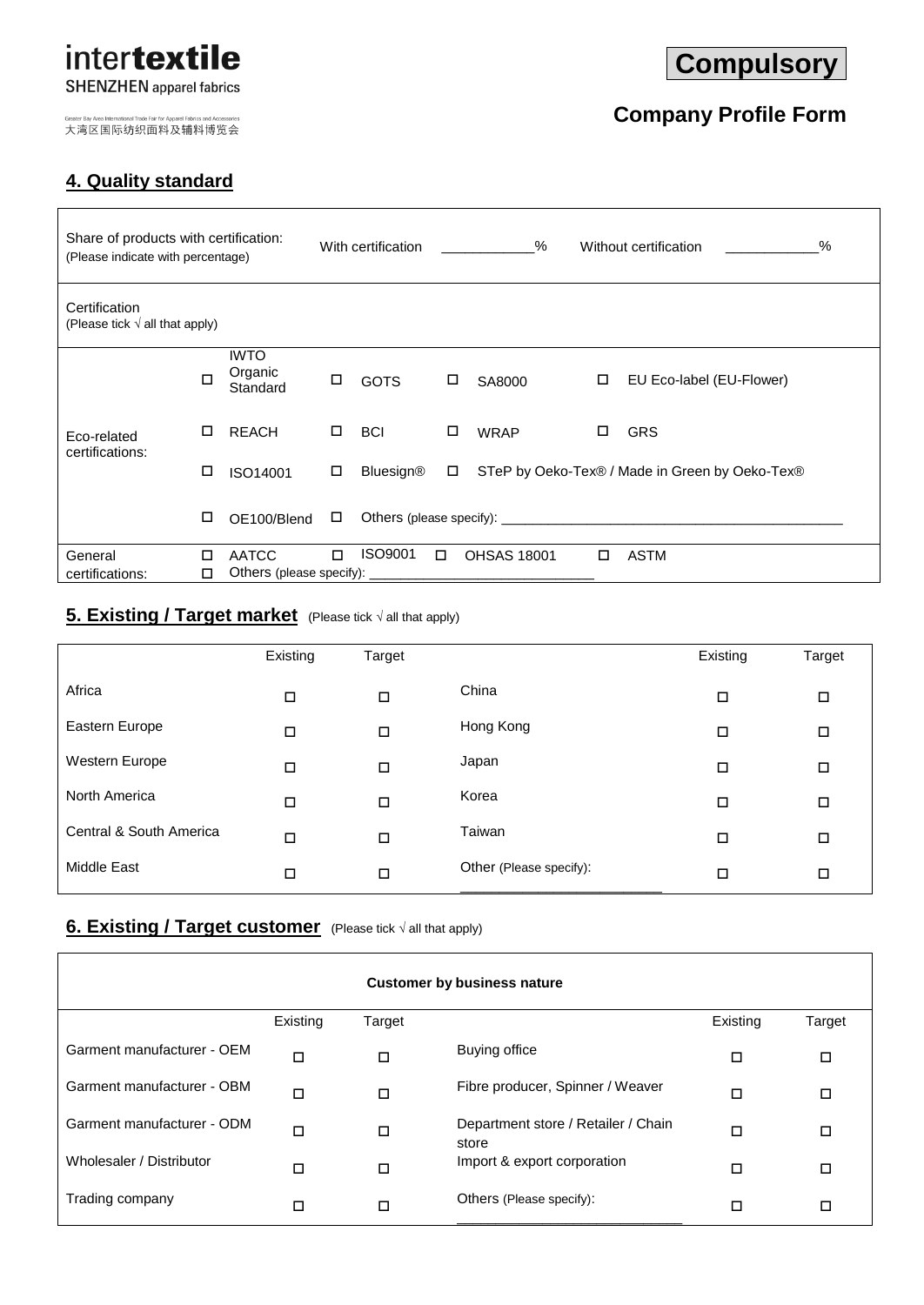## intertextile **SHENZHEN** apparel fabrics

大湾区国际纺织面料及辅料博览会

## **4. Quality standard**

# **Compulsory**

# **Company Profile Form**

| Share of products with certification:<br>(Please indicate with percentage) |   |                                    |   | With certification |        | %                  |        | $\%$<br>Without certification                                                                                                                                                                                                 |
|----------------------------------------------------------------------------|---|------------------------------------|---|--------------------|--------|--------------------|--------|-------------------------------------------------------------------------------------------------------------------------------------------------------------------------------------------------------------------------------|
| Certification<br>(Please tick $\sqrt{ }$ all that apply)                   |   |                                    |   |                    |        |                    |        |                                                                                                                                                                                                                               |
|                                                                            | п | <b>IWTO</b><br>Organic<br>Standard | □ | <b>GOTS</b>        | □      | SA8000             | $\Box$ | EU Eco-label (EU-Flower)                                                                                                                                                                                                      |
| Eco-related<br>certifications:                                             | □ | <b>REACH</b>                       | 0 | <b>BCI</b>         | □      | <b>WRAP</b>        | □      | <b>GRS</b>                                                                                                                                                                                                                    |
|                                                                            | □ | ISO14001                           | □ | <b>Bluesign®</b>   | $\Box$ |                    |        | STeP by Oeko-Tex® / Made in Green by Oeko-Tex®                                                                                                                                                                                |
|                                                                            | □ | OE100/Blend                        | □ |                    |        |                    |        | Others (please specify): example and a set of the set of the set of the set of the set of the set of the set of the set of the set of the set of the set of the set of the set of the set of the set of the set of the set of |
| General                                                                    | П | <b>AATCC</b>                       | п | ISO9001            | $\Box$ | <b>OHSAS 18001</b> | $\Box$ | ASTM                                                                                                                                                                                                                          |
| certifications:                                                            | П | Others (please specify):           |   |                    |        |                    |        |                                                                                                                                                                                                                               |

## **5. Existing / Target market** (Please tick  $\sqrt{ }$  all that apply)

|                         | Existing | Target |                         | Existing | Target |
|-------------------------|----------|--------|-------------------------|----------|--------|
| Africa                  | □        | □      | China                   | □        | $\Box$ |
| Eastern Europe          | □        | □      | Hong Kong               | □        | □      |
| Western Europe          | □        | □      | Japan                   | □        | □      |
| North America           | □        | □      | Korea                   | □        | □      |
| Central & South America | □        | □      | Taiwan                  | $\Box$   | □      |
| <b>Middle East</b>      | ◻        | □      | Other (Please specify): | □        | □      |

## **6. Existing / Target customer** (Please tick  $\sqrt{$  all that apply)

|                            |          |        | <b>Customer by business nature</b>           |          |        |
|----------------------------|----------|--------|----------------------------------------------|----------|--------|
|                            | Existing | Target |                                              | Existing | Target |
| Garment manufacturer - OEM | $\Box$   | □      | Buying office                                | □        | □      |
| Garment manufacturer - OBM | $\Box$   | □      | Fibre producer, Spinner / Weaver             | ◻        | □      |
| Garment manufacturer - ODM | П        | □      | Department store / Retailer / Chain<br>store | ◻        | □      |
| Wholesaler / Distributor   | □<br>□   |        | Import & export corporation                  | □        | □      |
| Trading company            | □        | □      | Others (Please specify):                     | □        | □      |